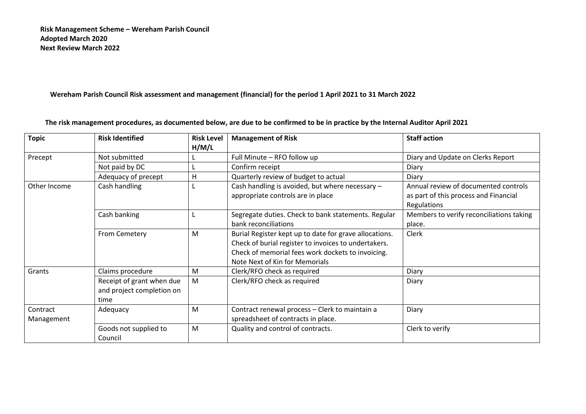**Risk Management Scheme – Wereham Parish Council Adopted March 2020 Next Review March 2022**

**Wereham Parish Council Risk assessment and management (financial) for the period 1 April 2021 to 31 March 2022**

| <b>Topic</b>           | <b>Risk Identified</b>                                         | <b>Risk Level</b><br>H/M/L | <b>Management of Risk</b>                                                                                                                                                                             | <b>Staff action</b>                                                                                 |
|------------------------|----------------------------------------------------------------|----------------------------|-------------------------------------------------------------------------------------------------------------------------------------------------------------------------------------------------------|-----------------------------------------------------------------------------------------------------|
| Precept                | Not submitted                                                  |                            | Full Minute - RFO follow up                                                                                                                                                                           | Diary and Update on Clerks Report                                                                   |
|                        | Not paid by DC                                                 |                            | Confirm receipt                                                                                                                                                                                       | Diary                                                                                               |
|                        | Adequacy of precept                                            | H                          | Quarterly review of budget to actual                                                                                                                                                                  | Diary                                                                                               |
| Other Income           | Cash handling                                                  |                            | Cash handling is avoided, but where necessary -<br>appropriate controls are in place                                                                                                                  | Annual review of documented controls<br>as part of this process and Financial<br><b>Regulations</b> |
|                        | Cash banking                                                   | L                          | Segregate duties. Check to bank statements. Regular<br>bank reconciliations                                                                                                                           | Members to verify reconciliations taking<br>place.                                                  |
|                        | From Cemetery                                                  | M                          | Burial Register kept up to date for grave allocations.<br>Check of burial register to invoices to undertakers.<br>Check of memorial fees work dockets to invoicing.<br>Note Next of Kin for Memorials | Clerk                                                                                               |
| Grants                 | Claims procedure                                               | M                          | Clerk/RFO check as required                                                                                                                                                                           | Diary                                                                                               |
|                        | Receipt of grant when due<br>and project completion on<br>time | M                          | Clerk/RFO check as required                                                                                                                                                                           | Diary                                                                                               |
| Contract<br>Management | Adequacy                                                       | M                          | Contract renewal process - Clerk to maintain a<br>spreadsheet of contracts in place.                                                                                                                  | Diary                                                                                               |
|                        | Goods not supplied to<br>Council                               | M                          | Quality and control of contracts.                                                                                                                                                                     | Clerk to verify                                                                                     |

**The risk management procedures, as documented below, are due to be confirmed to be in practice by the Internal Auditor April 2021**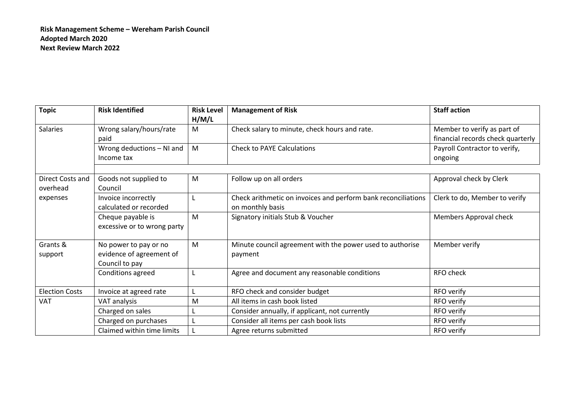| <b>Topic</b>                 | <b>Risk Identified</b>                                              | <b>Risk Level</b><br>H/M/L | <b>Management of Risk</b>                                                         | <b>Staff action</b>                                              |
|------------------------------|---------------------------------------------------------------------|----------------------------|-----------------------------------------------------------------------------------|------------------------------------------------------------------|
| <b>Salaries</b>              | Wrong salary/hours/rate<br>paid                                     | M                          | Check salary to minute, check hours and rate.                                     | Member to verify as part of<br>financial records check quarterly |
|                              | Wrong deductions - NI and<br>Income tax                             | M                          | <b>Check to PAYE Calculations</b>                                                 | Payroll Contractor to verify,<br>ongoing                         |
| Direct Costs and<br>overhead | Goods not supplied to<br>Council                                    | M                          | Follow up on all orders                                                           | Approval check by Clerk                                          |
| expenses                     | Invoice incorrectly<br>calculated or recorded                       |                            | Check arithmetic on invoices and perform bank reconciliations<br>on monthly basis | Clerk to do, Member to verify                                    |
|                              | Cheque payable is<br>excessive or to wrong party                    | M                          | Signatory initials Stub & Voucher                                                 | Members Approval check                                           |
| Grants &<br>support          | No power to pay or no<br>evidence of agreement of<br>Council to pay | M                          | Minute council agreement with the power used to authorise<br>payment              | Member verify                                                    |
|                              | Conditions agreed                                                   |                            | Agree and document any reasonable conditions                                      | RFO check                                                        |
| <b>Election Costs</b>        | Invoice at agreed rate                                              |                            | RFO check and consider budget                                                     | RFO verify                                                       |
| <b>VAT</b>                   | VAT analysis                                                        | M                          | All items in cash book listed                                                     | RFO verify                                                       |
|                              | Charged on sales                                                    |                            | Consider annually, if applicant, not currently                                    | RFO verify                                                       |
|                              | Charged on purchases                                                |                            | Consider all items per cash book lists                                            | RFO verify                                                       |
|                              | Claimed within time limits                                          |                            | Agree returns submitted                                                           | RFO verify                                                       |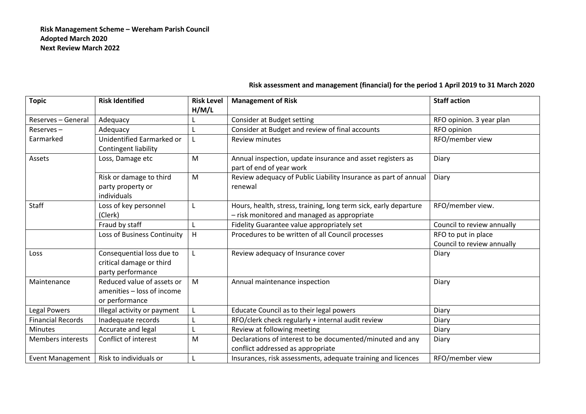## **Risk assessment and management (financial) for the period 1 April 2019 to 31 March 2020**

| <b>Topic</b>             | <b>Risk Identified</b>                                                     | <b>Risk Level</b><br>H/M/L | <b>Management of Risk</b>                                                                                       | <b>Staff action</b>                               |
|--------------------------|----------------------------------------------------------------------------|----------------------------|-----------------------------------------------------------------------------------------------------------------|---------------------------------------------------|
| Reserves - General       | Adequacy                                                                   |                            | <b>Consider at Budget setting</b>                                                                               | RFO opinion. 3 year plan                          |
| Reserves-                | Adequacy                                                                   |                            | Consider at Budget and review of final accounts                                                                 | RFO opinion                                       |
| Earmarked                | Unidentified Earmarked or<br>Contingent liability                          |                            | <b>Review minutes</b>                                                                                           | RFO/member view                                   |
| Assets                   | Loss, Damage etc                                                           | M                          | Annual inspection, update insurance and asset registers as<br>part of end of year work                          | Diary                                             |
|                          | Risk or damage to third<br>party property or<br>individuals                | M                          | Review adequacy of Public Liability Insurance as part of annual<br>renewal                                      | Diary                                             |
| Staff                    | Loss of key personnel<br>(Clerk)                                           | L.                         | Hours, health, stress, training, long term sick, early departure<br>- risk monitored and managed as appropriate | RFO/member view.                                  |
|                          | Fraud by staff                                                             |                            | Fidelity Guarantee value appropriately set                                                                      | Council to review annually                        |
|                          | Loss of Business Continuity                                                | H                          | Procedures to be written of all Council processes                                                               | RFO to put in place<br>Council to review annually |
| Loss                     | Consequential loss due to<br>critical damage or third<br>party performance |                            | Review adequacy of Insurance cover                                                                              | Diary                                             |
| Maintenance              | Reduced value of assets or<br>amenities - loss of income<br>or performance | M                          | Annual maintenance inspection                                                                                   | Diary                                             |
| <b>Legal Powers</b>      | Illegal activity or payment                                                |                            | Educate Council as to their legal powers                                                                        | Diary                                             |
| <b>Financial Records</b> | Inadequate records                                                         |                            | RFO/clerk check regularly + internal audit review                                                               | Diary                                             |
| <b>Minutes</b>           | Accurate and legal                                                         |                            | Review at following meeting                                                                                     | Diary                                             |
| <b>Members interests</b> | Conflict of interest                                                       | M                          | Declarations of interest to be documented/minuted and any<br>conflict addressed as appropriate                  | Diary                                             |
| <b>Event Management</b>  | Risk to individuals or                                                     |                            | Insurances, risk assessments, adequate training and licences                                                    | RFO/member view                                   |